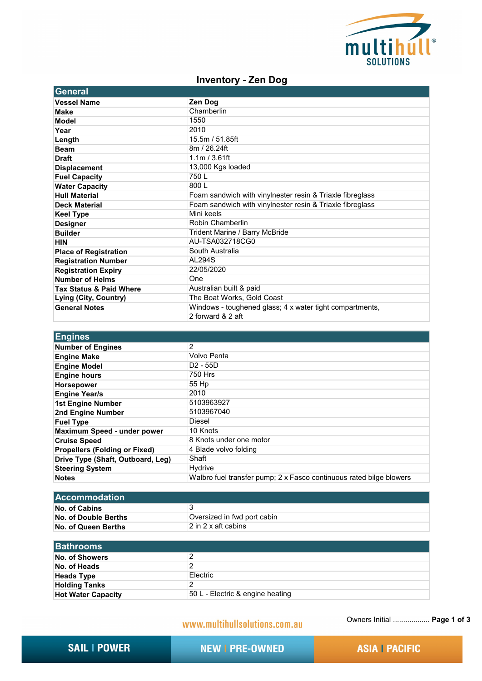

## **Inventory - Zen Dog**

| <b>General</b>                     |                                                                               |
|------------------------------------|-------------------------------------------------------------------------------|
| <b>Vessel Name</b>                 | Zen Dog                                                                       |
| <b>Make</b>                        | Chamberlin                                                                    |
| Model                              | 1550                                                                          |
| Year                               | 2010                                                                          |
| Length                             | 15.5m / 51.85ft                                                               |
| <b>Beam</b>                        | 8m / 26.24ft                                                                  |
| <b>Draft</b>                       | 1.1m / 3.61ft                                                                 |
| <b>Displacement</b>                | 13,000 Kgs loaded                                                             |
| <b>Fuel Capacity</b>               | 750L                                                                          |
| <b>Water Capacity</b>              | 800L                                                                          |
| <b>Hull Material</b>               | Foam sandwich with vinylnester resin & Triaxle fibreglass                     |
| <b>Deck Material</b>               | Foam sandwich with vinylnester resin & Triaxle fibreglass                     |
| <b>Keel Type</b>                   | Mini keels                                                                    |
| <b>Designer</b>                    | Robin Chamberlin                                                              |
| <b>Builder</b>                     | Trident Marine / Barry McBride                                                |
| <b>HIN</b>                         | AU-TSA032718CG0                                                               |
| <b>Place of Registration</b>       | South Australia                                                               |
| <b>Registration Number</b>         | <b>AL294S</b>                                                                 |
| <b>Registration Expiry</b>         | 22/05/2020                                                                    |
| <b>Number of Helms</b>             | One                                                                           |
| <b>Tax Status &amp; Paid Where</b> | Australian built & paid                                                       |
| Lying (City, Country)              | The Boat Works, Gold Coast                                                    |
| <b>General Notes</b>               | Windows - toughened glass; 4 x water tight compartments,<br>2 forward & 2 aft |

| <b>Engines</b>                       |                                                                     |
|--------------------------------------|---------------------------------------------------------------------|
| <b>Number of Engines</b>             | 2                                                                   |
| <b>Engine Make</b>                   | Volvo Penta                                                         |
| <b>Engine Model</b>                  | $D2 - 55D$                                                          |
| <b>Engine hours</b>                  | 750 Hrs                                                             |
| <b>Horsepower</b>                    | 55 Hp                                                               |
| <b>Engine Year/s</b>                 | 2010                                                                |
| 1st Engine Number                    | 5103963927                                                          |
| 2nd Engine Number                    | 5103967040                                                          |
| <b>Fuel Type</b>                     | <b>Diesel</b>                                                       |
| Maximum Speed - under power          | 10 Knots                                                            |
| <b>Cruise Speed</b>                  | 8 Knots under one motor                                             |
| <b>Propellers (Folding or Fixed)</b> | 4 Blade volvo folding                                               |
| Drive Type (Shaft, Outboard, Leg)    | Shaft                                                               |
| <b>Steering System</b>               | Hydrive                                                             |
| <b>Notes</b>                         | Walbro fuel transfer pump; 2 x Fasco continuous rated bilge blowers |

| <u> IAccommodation</u> |                             |
|------------------------|-----------------------------|
| No. of Cabins          |                             |
| No. of Double Berths   | Oversized in fwd port cabin |
| No. of Queen Berths    | 12 in 2 x aft cabins        |

| <b>Bathrooms</b>          |                                  |
|---------------------------|----------------------------------|
| No. of Showers            |                                  |
| No. of Heads              |                                  |
| <b>Heads Type</b>         | Electric                         |
| <b>Holding Tanks</b>      | ົ                                |
| <b>Hot Water Capacity</b> | 50 L - Electric & engine heating |

## www.multihullsolutions.com.au

Owners Initial .................. **Page 1 of 3**

**NEW I PRE-OWNED**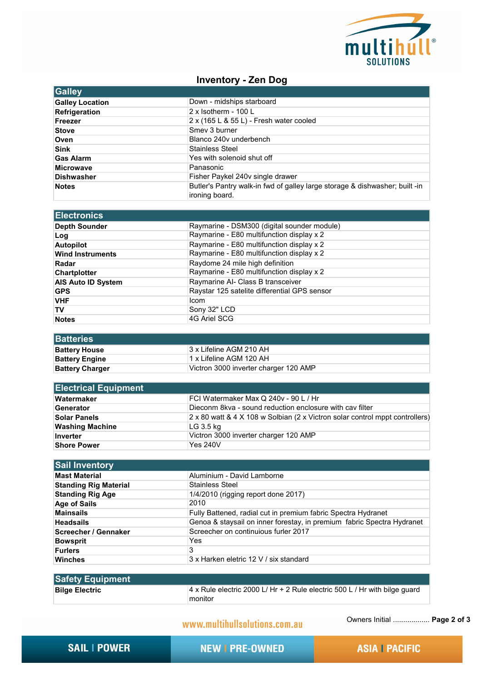

## **Inventory - Zen Dog**

| <b>Galley</b>          |                                                                                               |
|------------------------|-----------------------------------------------------------------------------------------------|
| <b>Galley Location</b> | Down - midships starboard                                                                     |
| Refrigeration          | $2 \times$ Isotherm - 100 L                                                                   |
| <b>Freezer</b>         | 2 x (165 L & 55 L) - Fresh water cooled                                                       |
| <b>Stove</b>           | Smey 3 burner                                                                                 |
| Oven                   | Blanco 240y underbench                                                                        |
| <b>Sink</b>            | Stainless Steel                                                                               |
| <b>Gas Alarm</b>       | Yes with solenoid shut off                                                                    |
| <b>Microwave</b>       | Panasonic                                                                                     |
| <b>Dishwasher</b>      | Fisher Paykel 240v single drawer                                                              |
| <b>Notes</b>           | Butler's Pantry walk-in fwd of galley large storage & dishwasher; built -in<br>ironing board. |

| Electronics               |                                              |
|---------------------------|----------------------------------------------|
| <b>Depth Sounder</b>      | Raymarine - DSM300 (digital sounder module)  |
| Log                       | Raymarine - E80 multifunction display x 2    |
| <b>Autopilot</b>          | Raymarine - E80 multifunction display x 2    |
| <b>Wind Instruments</b>   | Raymarine - E80 multifunction display x 2    |
| Radar                     | Raydome 24 mile high definition              |
| <b>Chartplotter</b>       | Raymarine - E80 multifunction display x 2    |
| <b>AIS Auto ID System</b> | Raymarine AI- Class B transceiver            |
| <b>GPS</b>                | Raystar 125 satelite differential GPS sensor |
| <b>VHF</b>                | <b>Icom</b>                                  |
| TV                        | Sony 32" LCD                                 |
| <b>Notes</b>              | 4G Ariel SCG                                 |

| <b>Batteries</b>       |                                       |
|------------------------|---------------------------------------|
| <b>Battery House</b>   | 3 x Lifeline AGM 210 AH               |
| <b>Battery Engine</b>  | ∣1 x Lifeline AGM 120 AH              |
| <b>Battery Charger</b> | Victron 3000 inverter charger 120 AMP |

| <b>Electrical Equipment</b> |                                                                              |
|-----------------------------|------------------------------------------------------------------------------|
| Watermaker                  | FCI Watermaker Max Q 240v - 90 L / Hr                                        |
| Generator                   | Dieconm 8kva - sound reduction enclosure with cay filter                     |
| Solar Panels                | 2 x 80 watt & 4 X 108 w Solbian (2 x Victron solar control mppt controllers) |
| <b>Washing Machine</b>      | LG 3.5 kg                                                                    |
| Inverter                    | Victron 3000 inverter charger 120 AMP                                        |
| <b>Shore Power</b>          | <b>Yes 240V</b>                                                              |

| <b>Sail Inventory</b>        |                                                                        |
|------------------------------|------------------------------------------------------------------------|
| <b>Mast Material</b>         | Aluminium - David Lamborne                                             |
| <b>Standing Rig Material</b> | <b>Stainless Steel</b>                                                 |
| <b>Standing Rig Age</b>      | $1/4/2010$ (rigging report done 2017)                                  |
| <b>Age of Sails</b>          | 2010                                                                   |
| <b>Mainsails</b>             | Fully Battened, radial cut in premium fabric Spectra Hydranet          |
| <b>Headsails</b>             | Genoa & staysail on inner forestay, in premium fabric Spectra Hydranet |
| Screecher / Gennaker         | Screecher on continuious furler 2017                                   |
| <b>Bowsprit</b>              | Yes                                                                    |
| <b>Furlers</b>               | 3                                                                      |
| Winches                      | 3 x Harken eletric 12 V / six standard                                 |

| <b>Safety Equipment</b> |                                                                                        |
|-------------------------|----------------------------------------------------------------------------------------|
| <b>Bilge Electric</b>   | 4 x Rule electric 2000 L/ Hr + 2 Rule electric 500 L / Hr with bilge guard<br>∣monitor |
|                         |                                                                                        |

www.multihullsolutions.com.au

Owners Initial .................. **Page 2 of 3**

**NEW I PRE-OWNED**